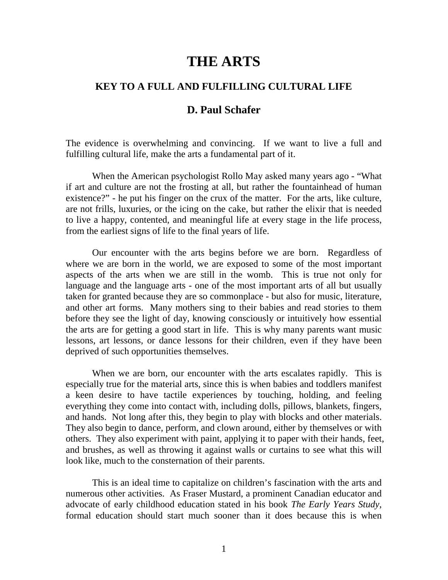## **THE ARTS**

## **KEY TO A FULL AND FULFILLING CULTURAL LIFE**

## **D. Paul Schafer**

The evidence is overwhelming and convincing. If we want to live a full and fulfilling cultural life, make the arts a fundamental part of it.

When the American psychologist Rollo May asked many years ago - "What if art and culture are not the frosting at all, but rather the fountainhead of human existence?" - he put his finger on the crux of the matter. For the arts, like culture, are not frills, luxuries, or the icing on the cake, but rather the elixir that is needed to live a happy, contented, and meaningful life at every stage in the life process, from the earliest signs of life to the final years of life.

Our encounter with the arts begins before we are born. Regardless of where we are born in the world, we are exposed to some of the most important aspects of the arts when we are still in the womb. This is true not only for language and the language arts - one of the most important arts of all but usually taken for granted because they are so commonplace - but also for music, literature, and other art forms. Many mothers sing to their babies and read stories to them before they see the light of day, knowing consciously or intuitively how essential the arts are for getting a good start in life. This is why many parents want music lessons, art lessons, or dance lessons for their children, even if they have been deprived of such opportunities themselves.

When we are born, our encounter with the arts escalates rapidly. This is especially true for the material arts, since this is when babies and toddlers manifest a keen desire to have tactile experiences by touching, holding, and feeling everything they come into contact with, including dolls, pillows, blankets, fingers, and hands. Not long after this, they begin to play with blocks and other materials. They also begin to dance, perform, and clown around, either by themselves or with others. They also experiment with paint, applying it to paper with their hands, feet, and brushes, as well as throwing it against walls or curtains to see what this will look like, much to the consternation of their parents.

This is an ideal time to capitalize on children's fascination with the arts and numerous other activities. As Fraser Mustard, a prominent Canadian educator and advocate of early childhood education stated in his book *The Early Years Study*, formal education should start much sooner than it does because this is when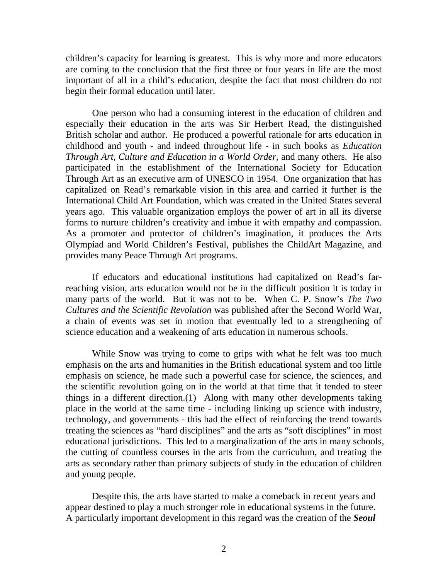children's capacity for learning is greatest. This is why more and more educators are coming to the conclusion that the first three or four years in life are the most important of all in a child's education, despite the fact that most children do not begin their formal education until later.

One person who had a consuming interest in the education of children and especially their education in the arts was Sir Herbert Read, the distinguished British scholar and author. He produced a powerful rationale for arts education in childhood and youth - and indeed throughout life - in such books as *Education Through Art, Culture and Education in a World Order*, and many others. He also participated in the establishment of the International Society for Education Through Art as an executive arm of UNESCO in 1954. One organization that has capitalized on Read's remarkable vision in this area and carried it further is the International Child Art Foundation, which was created in the United States several years ago. This valuable organization employs the power of art in all its diverse forms to nurture children's creativity and imbue it with empathy and compassion. As a promoter and protector of children's imagination, it produces the Arts Olympiad and World Children's Festival, publishes the ChildArt Magazine, and provides many Peace Through Art programs.

If educators and educational institutions had capitalized on Read's farreaching vision, arts education would not be in the difficult position it is today in many parts of the world. But it was not to be. When C. P. Snow's *The Two Cultures and the Scientific Revolution* was published after the Second World War, a chain of events was set in motion that eventually led to a strengthening of science education and a weakening of arts education in numerous schools.

While Snow was trying to come to grips with what he felt was too much emphasis on the arts and humanities in the British educational system and too little emphasis on science, he made such a powerful case for science, the sciences, and the scientific revolution going on in the world at that time that it tended to steer things in a different direction.(1) Along with many other developments taking place in the world at the same time - including linking up science with industry, technology, and governments - this had the effect of reinforcing the trend towards treating the sciences as "hard disciplines" and the arts as "soft disciplines" in most educational jurisdictions. This led to a marginalization of the arts in many schools, the cutting of countless courses in the arts from the curriculum, and treating the arts as secondary rather than primary subjects of study in the education of children and young people.

Despite this, the arts have started to make a comeback in recent years and appear destined to play a much stronger role in educational systems in the future. A particularly important development in this regard was the creation of the *Seoul*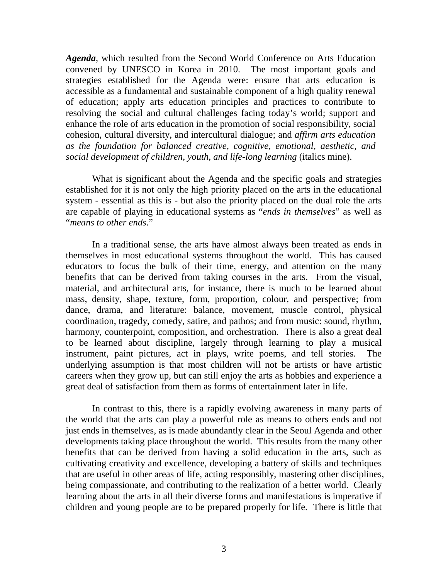*Agenda*, which resulted from the Second World Conference on Arts Education convened by UNESCO in Korea in 2010. The most important goals and strategies established for the Agenda were: ensure that arts education is accessible as a fundamental and sustainable component of a high quality renewal of education; apply arts education principles and practices to contribute to resolving the social and cultural challenges facing today's world; support and enhance the role of arts education in the promotion of social responsibility, social cohesion, cultural diversity, and intercultural dialogue; and *affirm arts education as the foundation for balanced creative, cognitive, emotional, aesthetic, and social development of children, youth, and life-long learning* (italics mine).

What is significant about the Agenda and the specific goals and strategies established for it is not only the high priority placed on the arts in the educational system - essential as this is - but also the priority placed on the dual role the arts are capable of playing in educational systems as "*ends in themselves*" as well as "*means to other ends*."

In a traditional sense, the arts have almost always been treated as ends in themselves in most educational systems throughout the world. This has caused educators to focus the bulk of their time, energy, and attention on the many benefits that can be derived from taking courses in the arts. From the visual, material, and architectural arts, for instance, there is much to be learned about mass, density, shape, texture, form, proportion, colour, and perspective; from dance, drama, and literature: balance, movement, muscle control, physical coordination, tragedy, comedy, satire, and pathos; and from music: sound, rhythm, harmony, counterpoint, composition, and orchestration. There is also a great deal to be learned about discipline, largely through learning to play a musical instrument, paint pictures, act in plays, write poems, and tell stories. The underlying assumption is that most children will not be artists or have artistic careers when they grow up, but can still enjoy the arts as hobbies and experience a great deal of satisfaction from them as forms of entertainment later in life.

In contrast to this, there is a rapidly evolving awareness in many parts of the world that the arts can play a powerful role as means to others ends and not just ends in themselves, as is made abundantly clear in the Seoul Agenda and other developments taking place throughout the world. This results from the many other benefits that can be derived from having a solid education in the arts, such as cultivating creativity and excellence, developing a battery of skills and techniques that are useful in other areas of life, acting responsibly, mastering other disciplines, being compassionate, and contributing to the realization of a better world. Clearly learning about the arts in all their diverse forms and manifestations is imperative if children and young people are to be prepared properly for life. There is little that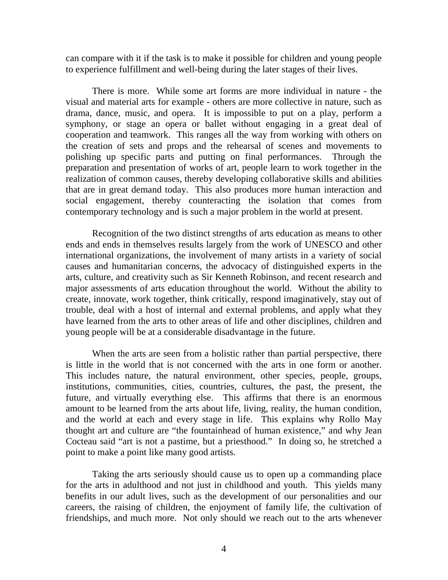can compare with it if the task is to make it possible for children and young people to experience fulfillment and well-being during the later stages of their lives.

There is more. While some art forms are more individual in nature - the visual and material arts for example - others are more collective in nature, such as drama, dance, music, and opera. It is impossible to put on a play, perform a symphony, or stage an opera or ballet without engaging in a great deal of cooperation and teamwork. This ranges all the way from working with others on the creation of sets and props and the rehearsal of scenes and movements to polishing up specific parts and putting on final performances. Through the preparation and presentation of works of art, people learn to work together in the realization of common causes, thereby developing collaborative skills and abilities that are in great demand today. This also produces more human interaction and social engagement, thereby counteracting the isolation that comes from contemporary technology and is such a major problem in the world at present.

Recognition of the two distinct strengths of arts education as means to other ends and ends in themselves results largely from the work of UNESCO and other international organizations, the involvement of many artists in a variety of social causes and humanitarian concerns, the advocacy of distinguished experts in the arts, culture, and creativity such as Sir Kenneth Robinson, and recent research and major assessments of arts education throughout the world. Without the ability to create, innovate, work together, think critically, respond imaginatively, stay out of trouble, deal with a host of internal and external problems, and apply what they have learned from the arts to other areas of life and other disciplines, children and young people will be at a considerable disadvantage in the future.

When the arts are seen from a holistic rather than partial perspective, there is little in the world that is not concerned with the arts in one form or another. This includes nature, the natural environment, other species, people, groups, institutions, communities, cities, countries, cultures, the past, the present, the future, and virtually everything else. This affirms that there is an enormous amount to be learned from the arts about life, living, reality, the human condition, and the world at each and every stage in life. This explains why Rollo May thought art and culture are "the fountainhead of human existence," and why Jean Cocteau said "art is not a pastime, but a priesthood." In doing so, he stretched a point to make a point like many good artists.

Taking the arts seriously should cause us to open up a commanding place for the arts in adulthood and not just in childhood and youth. This yields many benefits in our adult lives, such as the development of our personalities and our careers, the raising of children, the enjoyment of family life, the cultivation of friendships, and much more. Not only should we reach out to the arts whenever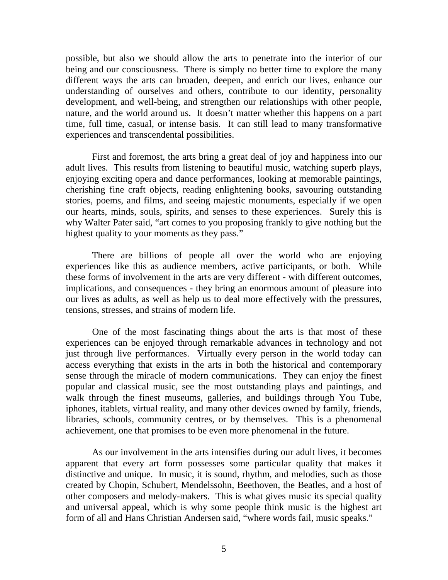possible, but also we should allow the arts to penetrate into the interior of our being and our consciousness. There is simply no better time to explore the many different ways the arts can broaden, deepen, and enrich our lives, enhance our understanding of ourselves and others, contribute to our identity, personality development, and well-being, and strengthen our relationships with other people, nature, and the world around us. It doesn't matter whether this happens on a part time, full time, casual, or intense basis. It can still lead to many transformative experiences and transcendental possibilities.

First and foremost, the arts bring a great deal of joy and happiness into our adult lives. This results from listening to beautiful music, watching superb plays, enjoying exciting opera and dance performances, looking at memorable paintings, cherishing fine craft objects, reading enlightening books, savouring outstanding stories, poems, and films, and seeing majestic monuments, especially if we open our hearts, minds, souls, spirits, and senses to these experiences. Surely this is why Walter Pater said, "art comes to you proposing frankly to give nothing but the highest quality to your moments as they pass."

There are billions of people all over the world who are enjoying experiences like this as audience members, active participants, or both. While these forms of involvement in the arts are very different - with different outcomes, implications, and consequences - they bring an enormous amount of pleasure into our lives as adults, as well as help us to deal more effectively with the pressures, tensions, stresses, and strains of modern life.

One of the most fascinating things about the arts is that most of these experiences can be enjoyed through remarkable advances in technology and not just through live performances. Virtually every person in the world today can access everything that exists in the arts in both the historical and contemporary sense through the miracle of modern communications. They can enjoy the finest popular and classical music, see the most outstanding plays and paintings, and walk through the finest museums, galleries, and buildings through You Tube, iphones, itablets, virtual reality, and many other devices owned by family, friends, libraries, schools, community centres, or by themselves. This is a phenomenal achievement, one that promises to be even more phenomenal in the future.

As our involvement in the arts intensifies during our adult lives, it becomes apparent that every art form possesses some particular quality that makes it distinctive and unique. In music, it is sound, rhythm, and melodies, such as those created by Chopin, Schubert, Mendelssohn, Beethoven, the Beatles, and a host of other composers and melody-makers. This is what gives music its special quality and universal appeal, which is why some people think music is the highest art form of all and Hans Christian Andersen said, "where words fail, music speaks."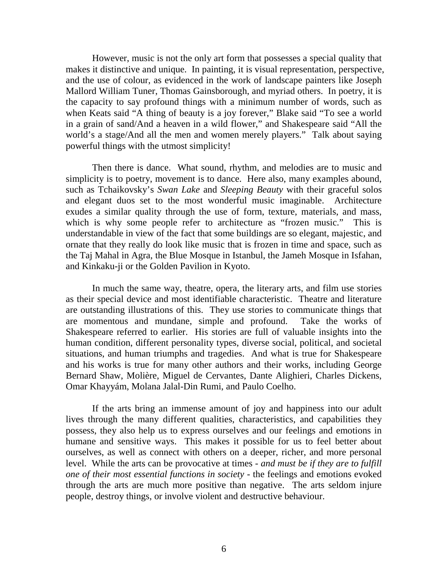However, music is not the only art form that possesses a special quality that makes it distinctive and unique. In painting, it is visual representation, perspective, and the use of colour, as evidenced in the work of landscape painters like Joseph Mallord William Tuner, Thomas Gainsborough, and myriad others. In poetry, it is the capacity to say profound things with a minimum number of words, such as when Keats said "A thing of beauty is a joy forever," Blake said "To see a world in a grain of sand/And a heaven in a wild flower," and Shakespeare said "All the world's a stage/And all the men and women merely players." Talk about saying powerful things with the utmost simplicity!

Then there is dance. What sound, rhythm, and melodies are to music and simplicity is to poetry, movement is to dance. Here also, many examples abound, such as Tchaikovsky's *Swan Lake* and *Sleeping Beauty* with their graceful solos and elegant duos set to the most wonderful music imaginable. Architecture exudes a similar quality through the use of form, texture, materials, and mass, which is why some people refer to architecture as "frozen music." This is understandable in view of the fact that some buildings are so elegant, majestic, and ornate that they really do look like music that is frozen in time and space, such as the Taj Mahal in Agra, the Blue Mosque in Istanbul, the Jameh Mosque in Isfahan, and Kinkaku-ji or the Golden Pavilion in Kyoto.

In much the same way, theatre, opera, the literary arts, and film use stories as their special device and most identifiable characteristic. Theatre and literature are outstanding illustrations of this. They use stories to communicate things that are momentous and mundane, simple and profound. Take the works of Shakespeare referred to earlier. His stories are full of valuable insights into the human condition, different personality types, diverse social, political, and societal situations, and human triumphs and tragedies. And what is true for Shakespeare and his works is true for many other authors and their works, including George Bernard Shaw, Molière, Miguel de Cervantes, Dante Alighieri, Charles Dickens, Omar Khayyám, Molana Jalal-Din Rumi, and Paulo Coelho.

If the arts bring an immense amount of joy and happiness into our adult lives through the many different qualities, characteristics, and capabilities they possess, they also help us to express ourselves and our feelings and emotions in humane and sensitive ways. This makes it possible for us to feel better about ourselves, as well as connect with others on a deeper, richer, and more personal level. While the arts can be provocative at times - *and must be if they are to fulfill one of their most essential functions in society* - the feelings and emotions evoked through the arts are much more positive than negative. The arts seldom injure people, destroy things, or involve violent and destructive behaviour.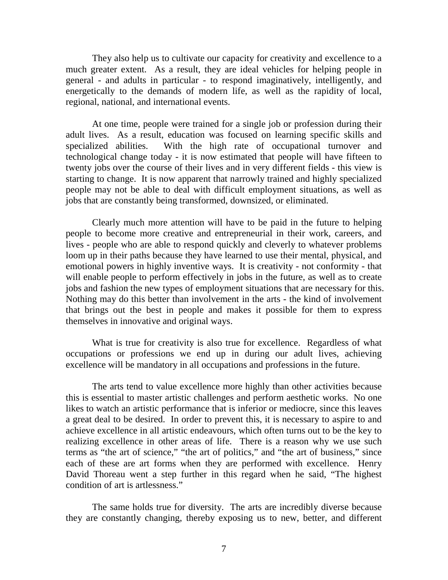They also help us to cultivate our capacity for creativity and excellence to a much greater extent. As a result, they are ideal vehicles for helping people in general - and adults in particular - to respond imaginatively, intelligently, and energetically to the demands of modern life, as well as the rapidity of local, regional, national, and international events.

At one time, people were trained for a single job or profession during their adult lives. As a result, education was focused on learning specific skills and specialized abilities. With the high rate of occupational turnover and technological change today - it is now estimated that people will have fifteen to twenty jobs over the course of their lives and in very different fields - this view is starting to change. It is now apparent that narrowly trained and highly specialized people may not be able to deal with difficult employment situations, as well as jobs that are constantly being transformed, downsized, or eliminated.

Clearly much more attention will have to be paid in the future to helping people to become more creative and entrepreneurial in their work, careers, and lives - people who are able to respond quickly and cleverly to whatever problems loom up in their paths because they have learned to use their mental, physical, and emotional powers in highly inventive ways. It is creativity - not conformity - that will enable people to perform effectively in jobs in the future, as well as to create jobs and fashion the new types of employment situations that are necessary for this. Nothing may do this better than involvement in the arts - the kind of involvement that brings out the best in people and makes it possible for them to express themselves in innovative and original ways.

What is true for creativity is also true for excellence. Regardless of what occupations or professions we end up in during our adult lives, achieving excellence will be mandatory in all occupations and professions in the future.

The arts tend to value excellence more highly than other activities because this is essential to master artistic challenges and perform aesthetic works. No one likes to watch an artistic performance that is inferior or mediocre, since this leaves a great deal to be desired. In order to prevent this, it is necessary to aspire to and achieve excellence in all artistic endeavours, which often turns out to be the key to realizing excellence in other areas of life. There is a reason why we use such terms as "the art of science," "the art of politics," and "the art of business," since each of these are art forms when they are performed with excellence. Henry David Thoreau went a step further in this regard when he said, "The highest condition of art is artlessness."

The same holds true for diversity. The arts are incredibly diverse because they are constantly changing, thereby exposing us to new, better, and different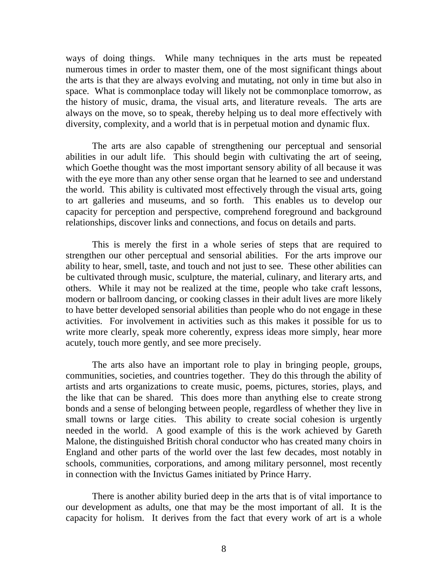ways of doing things. While many techniques in the arts must be repeated numerous times in order to master them, one of the most significant things about the arts is that they are always evolving and mutating, not only in time but also in space. What is commonplace today will likely not be commonplace tomorrow, as the history of music, drama, the visual arts, and literature reveals. The arts are always on the move, so to speak, thereby helping us to deal more effectively with diversity, complexity, and a world that is in perpetual motion and dynamic flux.

The arts are also capable of strengthening our perceptual and sensorial abilities in our adult life. This should begin with cultivating the art of seeing, which Goethe thought was the most important sensory ability of all because it was with the eye more than any other sense organ that he learned to see and understand the world. This ability is cultivated most effectively through the visual arts, going to art galleries and museums, and so forth. This enables us to develop our capacity for perception and perspective, comprehend foreground and background relationships, discover links and connections, and focus on details and parts.

This is merely the first in a whole series of steps that are required to strengthen our other perceptual and sensorial abilities. For the arts improve our ability to hear, smell, taste, and touch and not just to see. These other abilities can be cultivated through music, sculpture, the material, culinary, and literary arts, and others. While it may not be realized at the time, people who take craft lessons, modern or ballroom dancing, or cooking classes in their adult lives are more likely to have better developed sensorial abilities than people who do not engage in these activities. For involvement in activities such as this makes it possible for us to write more clearly, speak more coherently, express ideas more simply, hear more acutely, touch more gently, and see more precisely.

The arts also have an important role to play in bringing people, groups, communities, societies, and countries together. They do this through the ability of artists and arts organizations to create music, poems, pictures, stories, plays, and the like that can be shared. This does more than anything else to create strong bonds and a sense of belonging between people, regardless of whether they live in small towns or large cities. This ability to create social cohesion is urgently needed in the world. A good example of this is the work achieved by Gareth Malone, the distinguished British choral conductor who has created many choirs in England and other parts of the world over the last few decades, most notably in schools, communities, corporations, and among military personnel, most recently in connection with the Invictus Games initiated by Prince Harry.

There is another ability buried deep in the arts that is of vital importance to our development as adults, one that may be the most important of all. It is the capacity for holism. It derives from the fact that every work of art is a whole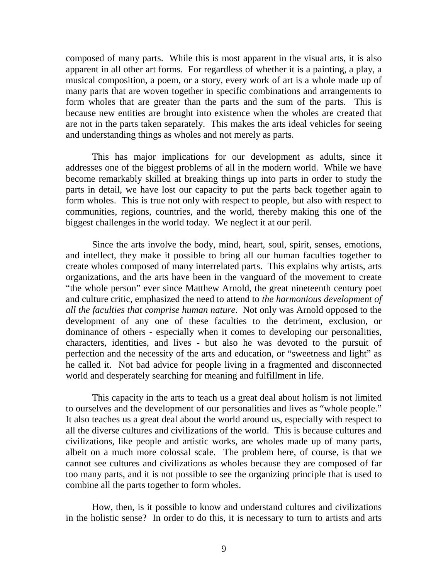composed of many parts. While this is most apparent in the visual arts, it is also apparent in all other art forms. For regardless of whether it is a painting, a play, a musical composition, a poem, or a story, every work of art is a whole made up of many parts that are woven together in specific combinations and arrangements to form wholes that are greater than the parts and the sum of the parts. This is because new entities are brought into existence when the wholes are created that are not in the parts taken separately. This makes the arts ideal vehicles for seeing and understanding things as wholes and not merely as parts.

This has major implications for our development as adults, since it addresses one of the biggest problems of all in the modern world. While we have become remarkably skilled at breaking things up into parts in order to study the parts in detail, we have lost our capacity to put the parts back together again to form wholes. This is true not only with respect to people, but also with respect to communities, regions, countries, and the world, thereby making this one of the biggest challenges in the world today. We neglect it at our peril.

Since the arts involve the body, mind, heart, soul, spirit, senses, emotions, and intellect, they make it possible to bring all our human faculties together to create wholes composed of many interrelated parts. This explains why artists, arts organizations, and the arts have been in the vanguard of the movement to create "the whole person" ever since Matthew Arnold, the great nineteenth century poet and culture critic, emphasized the need to attend to *the harmonious development of all the faculties that comprise human nature*. Not only was Arnold opposed to the development of any one of these faculties to the detriment, exclusion, or dominance of others - especially when it comes to developing our personalities, characters, identities, and lives - but also he was devoted to the pursuit of perfection and the necessity of the arts and education, or "sweetness and light" as he called it. Not bad advice for people living in a fragmented and disconnected world and desperately searching for meaning and fulfillment in life.

This capacity in the arts to teach us a great deal about holism is not limited to ourselves and the development of our personalities and lives as "whole people." It also teaches us a great deal about the world around us, especially with respect to all the diverse cultures and civilizations of the world. This is because cultures and civilizations, like people and artistic works, are wholes made up of many parts, albeit on a much more colossal scale. The problem here, of course, is that we cannot see cultures and civilizations as wholes because they are composed of far too many parts, and it is not possible to see the organizing principle that is used to combine all the parts together to form wholes.

How, then, is it possible to know and understand cultures and civilizations in the holistic sense? In order to do this, it is necessary to turn to artists and arts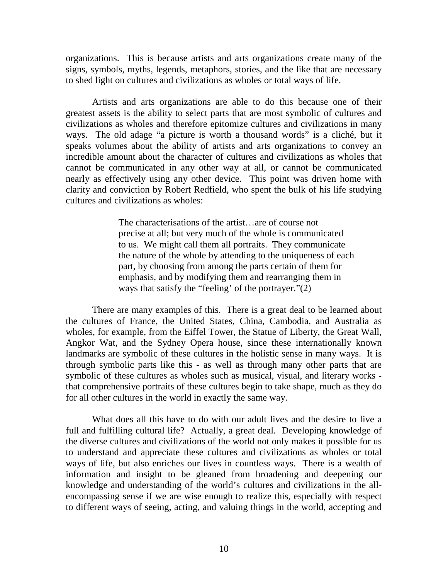organizations. This is because artists and arts organizations create many of the signs, symbols, myths, legends, metaphors, stories, and the like that are necessary to shed light on cultures and civilizations as wholes or total ways of life.

Artists and arts organizations are able to do this because one of their greatest assets is the ability to select parts that are most symbolic of cultures and civilizations as wholes and therefore epitomize cultures and civilizations in many ways. The old adage "a picture is worth a thousand words" is a cliché, but it speaks volumes about the ability of artists and arts organizations to convey an incredible amount about the character of cultures and civilizations as wholes that cannot be communicated in any other way at all, or cannot be communicated nearly as effectively using any other device. This point was driven home with clarity and conviction by Robert Redfield, who spent the bulk of his life studying cultures and civilizations as wholes:

> The characterisations of the artist…are of course not precise at all; but very much of the whole is communicated to us. We might call them all portraits. They communicate the nature of the whole by attending to the uniqueness of each part, by choosing from among the parts certain of them for emphasis, and by modifying them and rearranging them in ways that satisfy the "feeling' of the portrayer."(2)

There are many examples of this. There is a great deal to be learned about the cultures of France, the United States, China, Cambodia, and Australia as wholes, for example, from the Eiffel Tower, the Statue of Liberty, the Great Wall, Angkor Wat, and the Sydney Opera house, since these internationally known landmarks are symbolic of these cultures in the holistic sense in many ways. It is through symbolic parts like this - as well as through many other parts that are symbolic of these cultures as wholes such as musical, visual, and literary works that comprehensive portraits of these cultures begin to take shape, much as they do for all other cultures in the world in exactly the same way.

What does all this have to do with our adult lives and the desire to live a full and fulfilling cultural life? Actually, a great deal. Developing knowledge of the diverse cultures and civilizations of the world not only makes it possible for us to understand and appreciate these cultures and civilizations as wholes or total ways of life, but also enriches our lives in countless ways. There is a wealth of information and insight to be gleaned from broadening and deepening our knowledge and understanding of the world's cultures and civilizations in the allencompassing sense if we are wise enough to realize this, especially with respect to different ways of seeing, acting, and valuing things in the world, accepting and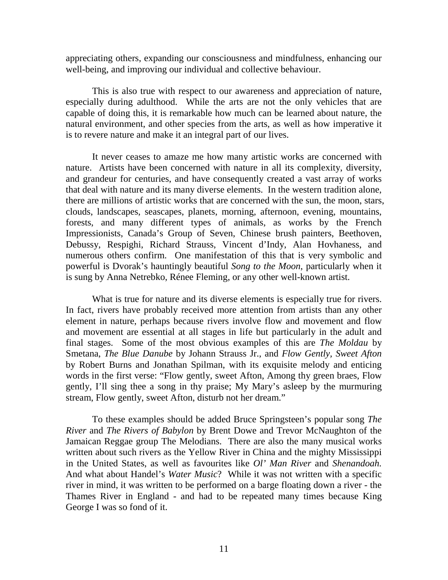appreciating others, expanding our consciousness and mindfulness, enhancing our well-being, and improving our individual and collective behaviour.

This is also true with respect to our awareness and appreciation of nature, especially during adulthood. While the arts are not the only vehicles that are capable of doing this, it is remarkable how much can be learned about nature, the natural environment, and other species from the arts, as well as how imperative it is to revere nature and make it an integral part of our lives.

It never ceases to amaze me how many artistic works are concerned with nature. Artists have been concerned with nature in all its complexity, diversity, and grandeur for centuries, and have consequently created a vast array of works that deal with nature and its many diverse elements. In the western tradition alone, there are millions of artistic works that are concerned with the sun, the moon, stars, clouds, landscapes, seascapes, planets, morning, afternoon, evening, mountains, forests, and many different types of animals, as works by the French Impressionists, Canada's Group of Seven, Chinese brush painters, Beethoven, Debussy, Respighi, Richard Strauss, Vincent d'Indy, Alan Hovhaness, and numerous others confirm. One manifestation of this that is very symbolic and powerful is Dvorak's hauntingly beautiful *Song to the Moon*, particularly when it is sung by Anna Netrebko, Rénee Fleming, or any other well-known artist.

What is true for nature and its diverse elements is especially true for rivers. In fact, rivers have probably received more attention from artists than any other element in nature, perhaps because rivers involve flow and movement and flow and movement are essential at all stages in life but particularly in the adult and final stages. Some of the most obvious examples of this are *The Moldau* by Smetana, *The Blue Danube* by Johann Strauss Jr., and *Flow Gently, Sweet Afton* by Robert Burns and Jonathan Spilman, with its exquisite melody and enticing words in the first verse: "Flow gently, sweet Afton, Among thy green braes, Flow gently, I'll sing thee a song in thy praise; My Mary's asleep by the murmuring stream, Flow gently, sweet Afton, disturb not her dream."

To these examples should be added Bruce Springsteen's popular song *The River* and *The Rivers of Babylon* by Brent Dowe and Trevor McNaughton of the Jamaican Reggae group The Melodians. There are also the many musical works written about such rivers as the Yellow River in China and the mighty Mississippi in the United States, as well as favourites like *Ol' Man River* and *Shenandoah.* And what about Handel's *Water Music*? While it was not written with a specific river in mind, it was written to be performed on a barge floating down a river - the Thames River in England - and had to be repeated many times because King George I was so fond of it.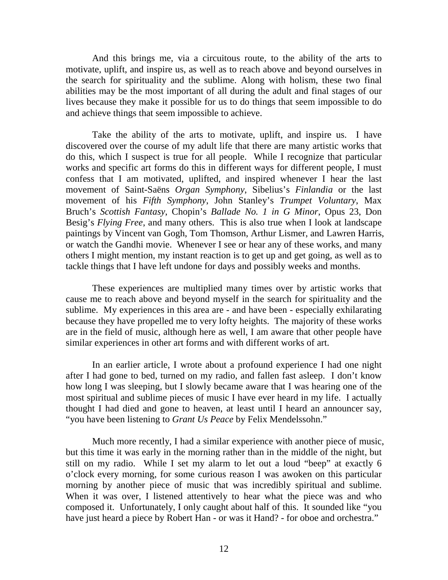And this brings me, via a circuitous route, to the ability of the arts to motivate, uplift, and inspire us, as well as to reach above and beyond ourselves in the search for spirituality and the sublime. Along with holism, these two final abilities may be the most important of all during the adult and final stages of our lives because they make it possible for us to do things that seem impossible to do and achieve things that seem impossible to achieve.

Take the ability of the arts to motivate, uplift, and inspire us. I have discovered over the course of my adult life that there are many artistic works that do this, which I suspect is true for all people. While I recognize that particular works and specific art forms do this in different ways for different people, I must confess that I am motivated, uplifted, and inspired whenever I hear the last movement of Saint-Saëns *Organ Symphony*, Sibelius's *Finlandia* or the last movement of his *Fifth Symphony*, John Stanley's *Trumpet Voluntary*, Max Bruch's *Scottish Fantasy*, Chopin's *Ballade No. 1 in G Minor*, Opus 23, Don Besig's *Flying Free*, and many others. This is also true when I look at landscape paintings by Vincent van Gogh, Tom Thomson, Arthur Lismer, and Lawren Harris, or watch the Gandhi movie. Whenever I see or hear any of these works, and many others I might mention, my instant reaction is to get up and get going, as well as to tackle things that I have left undone for days and possibly weeks and months.

These experiences are multiplied many times over by artistic works that cause me to reach above and beyond myself in the search for spirituality and the sublime. My experiences in this area are - and have been - especially exhilarating because they have propelled me to very lofty heights. The majority of these works are in the field of music, although here as well, I am aware that other people have similar experiences in other art forms and with different works of art.

In an earlier article, I wrote about a profound experience I had one night after I had gone to bed, turned on my radio, and fallen fast asleep. I don't know how long I was sleeping, but I slowly became aware that I was hearing one of the most spiritual and sublime pieces of music I have ever heard in my life. I actually thought I had died and gone to heaven, at least until I heard an announcer say, "you have been listening to *Grant Us Peace* by Felix Mendelssohn."

Much more recently, I had a similar experience with another piece of music, but this time it was early in the morning rather than in the middle of the night, but still on my radio. While I set my alarm to let out a loud "beep" at exactly 6 o'clock every morning, for some curious reason I was awoken on this particular morning by another piece of music that was incredibly spiritual and sublime. When it was over, I listened attentively to hear what the piece was and who composed it. Unfortunately, I only caught about half of this. It sounded like "you have just heard a piece by Robert Han - or was it Hand? - for oboe and orchestra."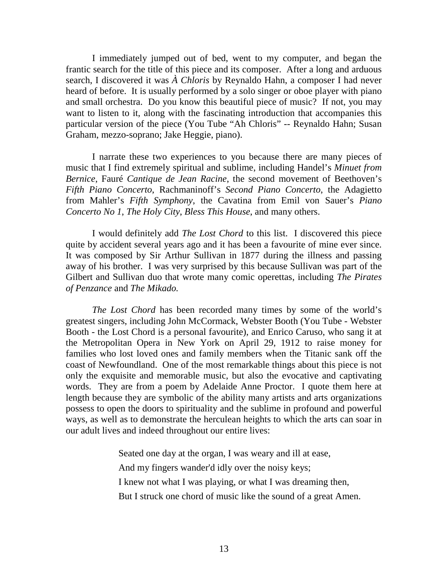I immediately jumped out of bed, went to my computer, and began the frantic search for the title of this piece and its composer. After a long and arduous search, I discovered it was *À Chloris* by Reynaldo Hahn, a composer I had never heard of before. It is usually performed by a solo singer or oboe player with piano and small orchestra. Do you know this beautiful piece of music? If not, you may want to listen to it, along with the fascinating introduction that accompanies this particular version of the piece (You Tube "Ah Chloris" -- Reynaldo Hahn; Susan Graham, mezzo-soprano; Jake Heggie, piano).

I narrate these two experiences to you because there are many pieces of music that I find extremely spiritual and sublime, including Handel's *Minuet from Bernice*, Fauré *Cantique de Jean Racine*, the second movement of Beethoven's *Fifth Piano Concerto*, Rachmaninoff's *Second Piano Concerto*, the Adagietto from Mahler's *Fifth Symphony*, the Cavatina from Emil von Sauer's *Piano Concerto No 1*, *The Holy City*, *Bless This House*, and many others.

I would definitely add *The Lost Chord* to this list. I discovered this piece quite by accident several years ago and it has been a favourite of mine ever since. It was composed by Sir Arthur Sullivan in 1877 during the illness and passing away of his brother. I was very surprised by this because Sullivan was part of the Gilbert and Sullivan duo that wrote many comic operettas, including *The Pirates of Penzance* and *The Mikado.*

*The Lost Chord* has been recorded many times by some of the world's greatest singers, including John McCormack, Webster Booth (You Tube - Webster Booth - the Lost Chord is a personal favourite), and Enrico Caruso, who sang it at the Metropolitan Opera in New York on April 29, 1912 to raise money for families who lost loved ones and family members when the Titanic sank off the coast of Newfoundland. One of the most remarkable things about this piece is not only the exquisite and memorable music, but also the evocative and captivating words. They are from a poem by Adelaide Anne Proctor. I quote them here at length because they are symbolic of the ability many artists and arts organizations possess to open the doors to spirituality and the sublime in profound and powerful ways, as well as to demonstrate the herculean heights to which the arts can soar in our adult lives and indeed throughout our entire lives:

> Seated one day at the organ, I was weary and ill at ease, And my fingers wander'd idly over the noisy keys; I knew not what I was playing, or what I was dreaming then, But I struck one chord of music like the sound of a great Amen.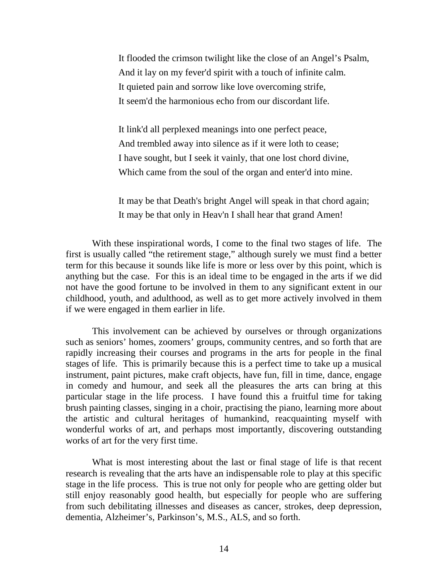It flooded the crimson twilight like the close of an Angel's Psalm, And it lay on my fever'd spirit with a touch of infinite calm. It quieted pain and sorrow like love overcoming strife, It seem'd the harmonious echo from our discordant life.

It link'd all perplexed meanings into one perfect peace, And trembled away into silence as if it were loth to cease; I have sought, but I seek it vainly, that one lost chord divine, Which came from the soul of the organ and enter'd into mine.

It may be that Death's bright Angel will speak in that chord again; It may be that only in Heav'n I shall hear that grand Amen!

With these inspirational words, I come to the final two stages of life. The first is usually called "the retirement stage," although surely we must find a better term for this because it sounds like life is more or less over by this point, which is anything but the case. For this is an ideal time to be engaged in the arts if we did not have the good fortune to be involved in them to any significant extent in our childhood, youth, and adulthood, as well as to get more actively involved in them if we were engaged in them earlier in life.

This involvement can be achieved by ourselves or through organizations such as seniors' homes, zoomers' groups, community centres, and so forth that are rapidly increasing their courses and programs in the arts for people in the final stages of life. This is primarily because this is a perfect time to take up a musical instrument, paint pictures, make craft objects, have fun, fill in time, dance, engage in comedy and humour, and seek all the pleasures the arts can bring at this particular stage in the life process. I have found this a fruitful time for taking brush painting classes, singing in a choir, practising the piano, learning more about the artistic and cultural heritages of humankind, reacquainting myself with wonderful works of art, and perhaps most importantly, discovering outstanding works of art for the very first time.

What is most interesting about the last or final stage of life is that recent research is revealing that the arts have an indispensable role to play at this specific stage in the life process. This is true not only for people who are getting older but still enjoy reasonably good health, but especially for people who are suffering from such debilitating illnesses and diseases as cancer, strokes, deep depression, dementia, Alzheimer's, Parkinson's, M.S., ALS, and so forth.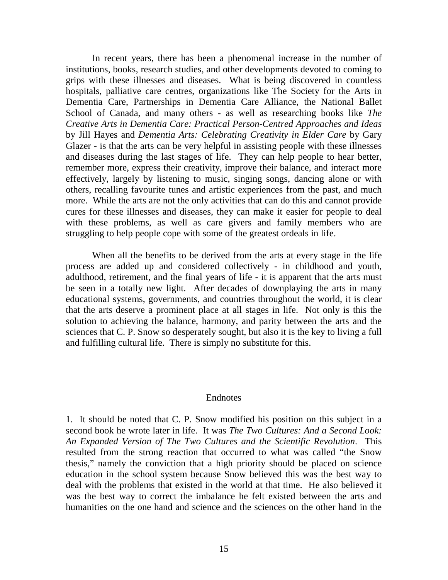In recent years, there has been a phenomenal increase in the number of institutions, books, research studies, and other developments devoted to coming to grips with these illnesses and diseases. What is being discovered in countless hospitals, palliative care centres, organizations like The Society for the Arts in Dementia Care, Partnerships in Dementia Care Alliance, the National Ballet School of Canada, and many others - as well as researching books like *The Creative Arts in Dementia Care: Practical Person-Centred Approaches and Ideas* by Jill Hayes and *Dementia Arts: Celebrating Creativity in Elder Care* by Gary Glazer - is that the arts can be very helpful in assisting people with these illnesses and diseases during the last stages of life. They can help people to hear better, remember more, express their creativity, improve their balance, and interact more effectively, largely by listening to music, singing songs, dancing alone or with others, recalling favourite tunes and artistic experiences from the past, and much more. While the arts are not the only activities that can do this and cannot provide cures for these illnesses and diseases, they can make it easier for people to deal with these problems, as well as care givers and family members who are struggling to help people cope with some of the greatest ordeals in life.

When all the benefits to be derived from the arts at every stage in the life process are added up and considered collectively - in childhood and youth, adulthood, retirement, and the final years of life - it is apparent that the arts must be seen in a totally new light. After decades of downplaying the arts in many educational systems, governments, and countries throughout the world, it is clear that the arts deserve a prominent place at all stages in life. Not only is this the solution to achieving the balance, harmony, and parity between the arts and the sciences that C. P. Snow so desperately sought, but also it is the key to living a full and fulfilling cultural life. There is simply no substitute for this.

## Endnotes

1. It should be noted that C. P. Snow modified his position on this subject in a second book he wrote later in life. It was *The Two Cultures: And a Second Look: An Expanded Version of The Two Cultures and the Scientific Revolution*. This resulted from the strong reaction that occurred to what was called "the Snow thesis," namely the conviction that a high priority should be placed on science education in the school system because Snow believed this was the best way to deal with the problems that existed in the world at that time. He also believed it was the best way to correct the imbalance he felt existed between the arts and humanities on the one hand and science and the sciences on the other hand in the